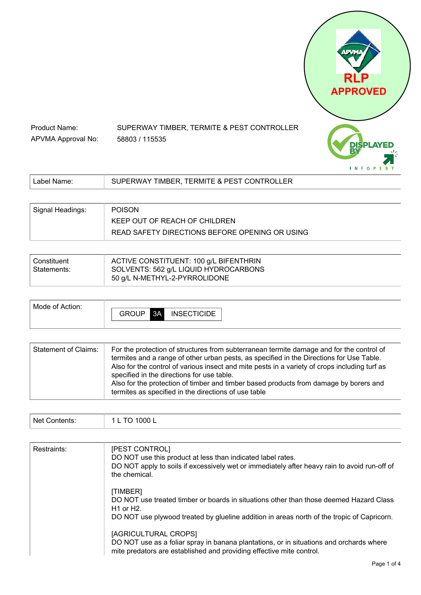

| Signal Headings: | <b>POISON</b>                                  |
|------------------|------------------------------------------------|
|                  | KEEP OUT OF REACH OF CHILDREN                  |
|                  | READ SAFETY DIRECTIONS BEFORE OPENING OR USING |

58803 / 115535

Product Name:

APVMA Approval No:

| Constituent | ACTIVE CONSTITUENT: 100 g/L BIFENTHRIN                                 |
|-------------|------------------------------------------------------------------------|
| Statements: | SOLVENTS: 562 g/L LIQUID HYDROCARBONS<br>50 g/L N-METHYL-2-PYRROLIDONE |
|             |                                                                        |

| termites and a range of other urban pests, as specified in the Directions for Use Table.<br>Also for the control of various insect and mite pests in a variety of crops including turf as<br>specified in the directions for use table.<br>Also for the protection of timber and timber based products from damage by borers and<br>termites as specified in the directions of use table | <b>Statement of Claims:</b> | For the protection of structures from subterranean termite damage and for the control of |
|------------------------------------------------------------------------------------------------------------------------------------------------------------------------------------------------------------------------------------------------------------------------------------------------------------------------------------------------------------------------------------------|-----------------------------|------------------------------------------------------------------------------------------|
|------------------------------------------------------------------------------------------------------------------------------------------------------------------------------------------------------------------------------------------------------------------------------------------------------------------------------------------------------------------------------------------|-----------------------------|------------------------------------------------------------------------------------------|

|  | Ν۵<br>וחה |  |
|--|-----------|--|
|--|-----------|--|

| Restraints: | [PEST CONTROL]<br>DO NOT use this product at less than indicated label rates.<br>DO NOT apply to soils if excessively wet or immediately after heavy rain to avoid run-off of<br>the chemical.                     |
|-------------|--------------------------------------------------------------------------------------------------------------------------------------------------------------------------------------------------------------------|
|             | [TIMBER]<br>DO NOT use treated timber or boards in situations other than those deemed Hazard Class<br>$H1$ or $H2$ .<br>DO NOT use plywood treated by glueline addition in areas north of the tropic of Capricorn. |
|             | [AGRICULTURAL CROPS]<br>DO NOT use as a foliar spray in banana plantations, or in situations and orchards where<br>mite predators are established and providing effective mite control.                            |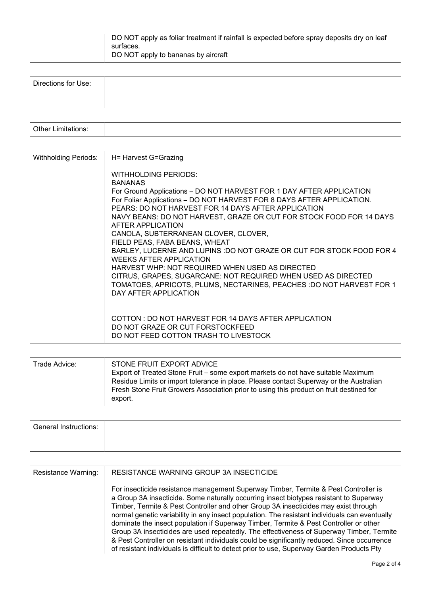| DO NOT apply as foliar treatment if rainfall is expected before spray deposits dry on leaf<br>surtaces. |
|---------------------------------------------------------------------------------------------------------|
| DO NOT apply to bananas by aircraft                                                                     |

| Directions for Use: |  |
|---------------------|--|
|                     |  |

| $[$ Other $\mathsf{L}$ .<br>فتسمعت |  |
|------------------------------------|--|
|                                    |  |

| Withholding Periods: | H= Harvest G=Grazing                                                                                                                                                                                                                                                                                                                                                                                                                                                                                                                                                                                                                                                                                                                                         |
|----------------------|--------------------------------------------------------------------------------------------------------------------------------------------------------------------------------------------------------------------------------------------------------------------------------------------------------------------------------------------------------------------------------------------------------------------------------------------------------------------------------------------------------------------------------------------------------------------------------------------------------------------------------------------------------------------------------------------------------------------------------------------------------------|
|                      | <b>WITHHOLDING PERIODS:</b><br><b>BANANAS</b><br>For Ground Applications - DO NOT HARVEST FOR 1 DAY AFTER APPLICATION<br>For Foliar Applications - DO NOT HARVEST FOR 8 DAYS AFTER APPLICATION.<br>PEARS: DO NOT HARVEST FOR 14 DAYS AFTER APPLICATION<br>NAVY BEANS: DO NOT HARVEST, GRAZE OR CUT FOR STOCK FOOD FOR 14 DAYS<br>AFTER APPLICATION<br>CANOLA, SUBTERRANEAN CLOVER, CLOVER,<br>FIELD PEAS, FABA BEANS, WHEAT<br>BARLEY, LUCERNE AND LUPINS : DO NOT GRAZE OR CUT FOR STOCK FOOD FOR 4<br><b>WEEKS AFTER APPLICATION</b><br>HARVEST WHP: NOT REQUIRED WHEN USED AS DIRECTED<br>CITRUS, GRAPES, SUGARCANE: NOT REQUIRED WHEN USED AS DIRECTED<br>TOMATOES, APRICOTS, PLUMS, NECTARINES, PEACHES : DO NOT HARVEST FOR 1<br>DAY AFTER APPLICATION |
|                      | COTTON: DO NOT HARVEST FOR 14 DAYS AFTER APPLICATION<br>DO NOT GRAZE OR CUT FORSTOCKFEED<br>DO NOT FEED COTTON TRASH TO LIVESTOCK                                                                                                                                                                                                                                                                                                                                                                                                                                                                                                                                                                                                                            |

| Trade Advice: | STONE FRUIT EXPORT ADVICE<br>Export of Treated Stone Fruit – some export markets do not have suitable Maximum<br>Residue Limits or import tolerance in place. Please contact Superway or the Australian<br>Fresh Stone Fruit Growers Association prior to using this product on fruit destined for<br>export. |
|---------------|---------------------------------------------------------------------------------------------------------------------------------------------------------------------------------------------------------------------------------------------------------------------------------------------------------------|

| <b>General Instructions:</b> |  |
|------------------------------|--|
|                              |  |

| <b>Resistance Warning:</b> | RESISTANCE WARNING GROUP 3A INSECTICIDE                                                                                                                                                                                                                                                                                                                                                                                                                                                                                                                                                                                                                                                                                                                 |
|----------------------------|---------------------------------------------------------------------------------------------------------------------------------------------------------------------------------------------------------------------------------------------------------------------------------------------------------------------------------------------------------------------------------------------------------------------------------------------------------------------------------------------------------------------------------------------------------------------------------------------------------------------------------------------------------------------------------------------------------------------------------------------------------|
|                            | For insecticide resistance management Superway Timber, Termite & Pest Controller is<br>a Group 3A insecticide. Some naturally occurring insect biotypes resistant to Superway<br>Timber, Termite & Pest Controller and other Group 3A insecticides may exist through<br>normal genetic variability in any insect population. The resistant individuals can eventually<br>dominate the insect population if Superway Timber, Termite & Pest Controller or other<br>Group 3A insecticides are used repeatedly. The effectiveness of Superway Timber, Termite<br>& Pest Controller on resistant individuals could be significantly reduced. Since occurrence<br>of resistant individuals is difficult to detect prior to use, Superway Garden Products Pty |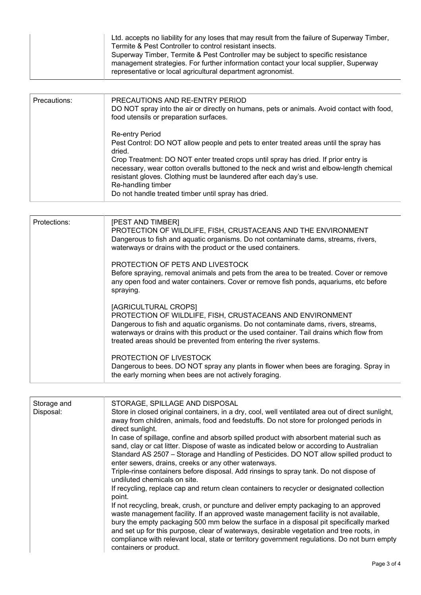|  | Ltd. accepts no liability for any loses that may result from the failure of Superway Timber,<br>Termite & Pest Controller to control resistant insects.<br>Superway Timber, Termite & Pest Controller may be subject to specific resistance<br>management strategies. For further information contact your local supplier, Superway<br>representative or local agricultural department agronomist. |
|--|----------------------------------------------------------------------------------------------------------------------------------------------------------------------------------------------------------------------------------------------------------------------------------------------------------------------------------------------------------------------------------------------------|
|--|----------------------------------------------------------------------------------------------------------------------------------------------------------------------------------------------------------------------------------------------------------------------------------------------------------------------------------------------------------------------------------------------------|

| Precautions: | PRECAUTIONS AND RE-ENTRY PERIOD<br>DO NOT spray into the air or directly on humans, pets or animals. Avoid contact with food,<br>food utensils or preparation surfaces.                                                                                                                                                                                                                                                                                         |  |  |  |  |
|--------------|-----------------------------------------------------------------------------------------------------------------------------------------------------------------------------------------------------------------------------------------------------------------------------------------------------------------------------------------------------------------------------------------------------------------------------------------------------------------|--|--|--|--|
|              | <b>Re-entry Period</b><br>Pest Control: DO NOT allow people and pets to enter treated areas until the spray has<br>dried.<br>Crop Treatment: DO NOT enter treated crops until spray has dried. If prior entry is<br>necessary, wear cotton overalls buttoned to the neck and wrist and elbow-length chemical<br>resistant gloves. Clothing must be laundered after each day's use.<br>Re-handling timber<br>Do not handle treated timber until spray has dried. |  |  |  |  |

| Protections: | [PEST AND TIMBER]<br>PROTECTION OF WILDLIFE, FISH, CRUSTACEANS AND THE ENVIRONMENT<br>Dangerous to fish and aquatic organisms. Do not contaminate dams, streams, rivers,<br>waterways or drains with the product or the used containers.                                                                                                  |
|--------------|-------------------------------------------------------------------------------------------------------------------------------------------------------------------------------------------------------------------------------------------------------------------------------------------------------------------------------------------|
|              | PROTECTION OF PETS AND LIVESTOCK<br>Before spraying, removal animals and pets from the area to be treated. Cover or remove<br>any open food and water containers. Cover or remove fish ponds, aquariums, etc before<br>spraying.                                                                                                          |
|              | [AGRICULTURAL CROPS]<br>PROTECTION OF WILDLIFE, FISH, CRUSTACEANS AND ENVIRONMENT<br>Dangerous to fish and aquatic organisms. Do not contaminate dams, rivers, streams,<br>waterways or drains with this product or the used container. Tail drains which flow from<br>treated areas should be prevented from entering the river systems. |
|              | PROTECTION OF LIVESTOCK<br>Dangerous to bees. DO NOT spray any plants in flower when bees are foraging. Spray in<br>the early morning when bees are not actively foraging.                                                                                                                                                                |

| Storage and<br>Disposal: | STORAGE, SPILLAGE AND DISPOSAL<br>Store in closed original containers, in a dry, cool, well ventilated area out of direct sunlight,<br>away from children, animals, food and feedstuffs. Do not store for prolonged periods in<br>direct sunlight.<br>In case of spillage, confine and absorb spilled product with absorbent material such as<br>sand, clay or cat litter. Dispose of waste as indicated below or according to Australian<br>Standard AS 2507 - Storage and Handling of Pesticides. DO NOT allow spilled product to<br>enter sewers, drains, creeks or any other waterways.<br>Triple-rinse containers before disposal. Add rinsings to spray tank. Do not dispose of<br>undiluted chemicals on site.<br>If recycling, replace cap and return clean containers to recycler or designated collection<br>point.<br>If not recycling, break, crush, or puncture and deliver empty packaging to an approved<br>waste management facility. If an approved waste management facility is not available,<br>bury the empty packaging 500 mm below the surface in a disposal pit specifically marked<br>and set up for this purpose, clear of waterways, desirable vegetation and tree roots, in<br>compliance with relevant local, state or territory government regulations. Do not burn empty<br>containers or product. |
|--------------------------|-----------------------------------------------------------------------------------------------------------------------------------------------------------------------------------------------------------------------------------------------------------------------------------------------------------------------------------------------------------------------------------------------------------------------------------------------------------------------------------------------------------------------------------------------------------------------------------------------------------------------------------------------------------------------------------------------------------------------------------------------------------------------------------------------------------------------------------------------------------------------------------------------------------------------------------------------------------------------------------------------------------------------------------------------------------------------------------------------------------------------------------------------------------------------------------------------------------------------------------------------------------------------------------------------------------------------------------|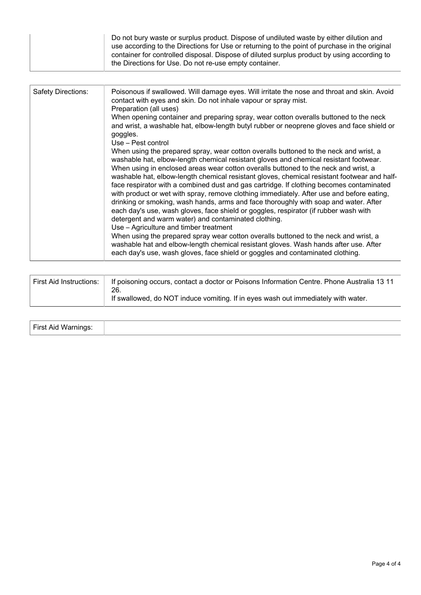| the Directions for Use. Do not re-use empty container. | Do not bury waste or surplus product. Dispose of undiluted waste by either dilution and<br>use according to the Directions for Use or returning to the point of purchase in the original<br>container for controlled disposal. Dispose of diluted surplus product by using according to |
|--------------------------------------------------------|-----------------------------------------------------------------------------------------------------------------------------------------------------------------------------------------------------------------------------------------------------------------------------------------|
|--------------------------------------------------------|-----------------------------------------------------------------------------------------------------------------------------------------------------------------------------------------------------------------------------------------------------------------------------------------|

| Safety Directions: | Poisonous if swallowed. Will damage eyes. Will irritate the nose and throat and skin. Avoid<br>contact with eyes and skin. Do not inhale vapour or spray mist.<br>Preparation (all uses)                                                                                                                                                                                                                                                                                                                                                                                                                                                                                                                                                                                                                                                        |
|--------------------|-------------------------------------------------------------------------------------------------------------------------------------------------------------------------------------------------------------------------------------------------------------------------------------------------------------------------------------------------------------------------------------------------------------------------------------------------------------------------------------------------------------------------------------------------------------------------------------------------------------------------------------------------------------------------------------------------------------------------------------------------------------------------------------------------------------------------------------------------|
|                    | When opening container and preparing spray, wear cotton overalls buttoned to the neck<br>and wrist, a washable hat, elbow-length butyl rubber or neoprene gloves and face shield or<br>goggles.<br>Use – Pest control                                                                                                                                                                                                                                                                                                                                                                                                                                                                                                                                                                                                                           |
|                    | When using the prepared spray, wear cotton overalls buttoned to the neck and wrist, a<br>washable hat, elbow-length chemical resistant gloves and chemical resistant footwear.<br>When using in enclosed areas wear cotton overalls buttoned to the neck and wrist, a<br>washable hat, elbow-length chemical resistant gloves, chemical resistant footwear and half-<br>face respirator with a combined dust and gas cartridge. If clothing becomes contaminated<br>with product or wet with spray, remove clothing immediately. After use and before eating,<br>drinking or smoking, wash hands, arms and face thoroughly with soap and water. After<br>each day's use, wash gloves, face shield or goggles, respirator (if rubber wash with<br>detergent and warm water) and contaminated clothing.<br>Use - Agriculture and timber treatment |
|                    | When using the prepared spray wear cotton overalls buttoned to the neck and wrist, a<br>washable hat and elbow-length chemical resistant gloves. Wash hands after use. After<br>each day's use, wash gloves, face shield or goggles and contaminated clothing.                                                                                                                                                                                                                                                                                                                                                                                                                                                                                                                                                                                  |

| First Aid Instructions:   If poisoning occurs, contact a doctor or Poisons Information Centre. Phone Australia 13 11<br>26. |
|-----------------------------------------------------------------------------------------------------------------------------|
| If swallowed, do NOT induce vomiting. If in eyes wash out immediately with water.                                           |

| First Aid Warnings:<br>ັ |  |
|--------------------------|--|
|--------------------------|--|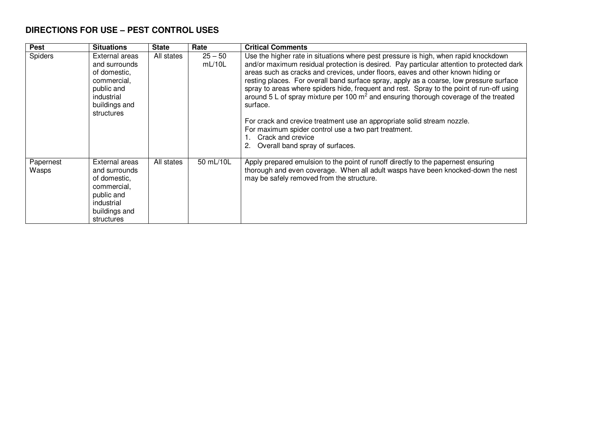## **DIRECTIONS FOR USE – PEST CONTROL USES**

| <b>Pest</b>        | <b>Situations</b>                                                                                                         | <b>State</b> | Rate                | <b>Critical Comments</b>                                                                                                                                                                                                                                                                                                                                                                                                                                                                                                                                                                                                                                                                                                                                        |
|--------------------|---------------------------------------------------------------------------------------------------------------------------|--------------|---------------------|-----------------------------------------------------------------------------------------------------------------------------------------------------------------------------------------------------------------------------------------------------------------------------------------------------------------------------------------------------------------------------------------------------------------------------------------------------------------------------------------------------------------------------------------------------------------------------------------------------------------------------------------------------------------------------------------------------------------------------------------------------------------|
| <b>Spiders</b>     | External areas<br>and surrounds<br>of domestic.<br>commercial,<br>public and<br>industrial<br>buildings and<br>structures | All states   | $25 - 50$<br>mL/10L | Use the higher rate in situations where pest pressure is high, when rapid knockdown<br>and/or maximum residual protection is desired. Pay particular attention to protected dark<br>areas such as cracks and crevices, under floors, eaves and other known hiding or<br>resting places. For overall band surface spray, apply as a coarse, low pressure surface<br>spray to areas where spiders hide, frequent and rest. Spray to the point of run-off using<br>around $5$ L of spray mixture per 100 $m2$ and ensuring thorough coverage of the treated<br>surface.<br>For crack and crevice treatment use an appropriate solid stream nozzle.<br>For maximum spider control use a two part treatment.<br>Crack and crevice<br>Overall band spray of surfaces. |
| Papernest<br>Wasps | External areas<br>and surrounds<br>of domestic,<br>commercial,<br>public and<br>industrial<br>buildings and<br>structures | All states   | 50 mL/10L           | Apply prepared emulsion to the point of runoff directly to the papernest ensuring<br>thorough and even coverage. When all adult wasps have been knocked-down the nest<br>may be safely removed from the structure.                                                                                                                                                                                                                                                                                                                                                                                                                                                                                                                                              |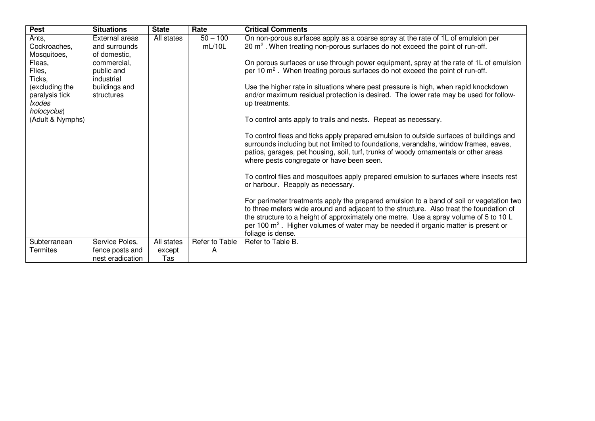| <b>Pest</b>                                                      | <b>Situations</b>                               | <b>State</b> | Rate                 | <b>Critical Comments</b>                                                                                                                                                                                                                                                                                                                                                                          |
|------------------------------------------------------------------|-------------------------------------------------|--------------|----------------------|---------------------------------------------------------------------------------------------------------------------------------------------------------------------------------------------------------------------------------------------------------------------------------------------------------------------------------------------------------------------------------------------------|
| Ants.<br>Cockroaches,<br>Mosquitoes,                             | External areas<br>and surrounds<br>of domestic, | All states   | $50 - 100$<br>mL/10L | On non-porous surfaces apply as a coarse spray at the rate of 1L of emulsion per<br>$20 \text{ m}^2$ . When treating non-porous surfaces do not exceed the point of run-off.                                                                                                                                                                                                                      |
| Fleas,<br>Flies,<br>Ticks.                                       | commercial.<br>public and<br>industrial         |              |                      | On porous surfaces or use through power equipment, spray at the rate of 1L of emulsion<br>per 10 m <sup>2</sup> . When treating porous surfaces do not exceed the point of run-off.                                                                                                                                                                                                               |
| (excluding the<br>paralysis tick<br><b>Ixodes</b><br>holocyclus) | buildings and<br>structures                     |              |                      | Use the higher rate in situations where pest pressure is high, when rapid knockdown<br>and/or maximum residual protection is desired. The lower rate may be used for follow-<br>up treatments.                                                                                                                                                                                                    |
| (Adult & Nymphs)                                                 |                                                 |              |                      | To control ants apply to trails and nests. Repeat as necessary.                                                                                                                                                                                                                                                                                                                                   |
|                                                                  |                                                 |              |                      | To control fleas and ticks apply prepared emulsion to outside surfaces of buildings and<br>surrounds including but not limited to foundations, verandahs, window frames, eaves,<br>patios, garages, pet housing, soil, turf, trunks of woody ornamentals or other areas<br>where pests congregate or have been seen.                                                                              |
|                                                                  |                                                 |              |                      | To control flies and mosquitoes apply prepared emulsion to surfaces where insects rest<br>or harbour. Reapply as necessary.                                                                                                                                                                                                                                                                       |
|                                                                  |                                                 |              |                      | For perimeter treatments apply the prepared emulsion to a band of soil or vegetation two<br>to three meters wide around and adjacent to the structure. Also treat the foundation of<br>the structure to a height of approximately one metre. Use a spray volume of 5 to 10 L<br>per 100 $\text{m}^2$ . Higher volumes of water may be needed if organic matter is present or<br>foliage is dense. |
| Subterranean                                                     | Service Poles,                                  | All states   | Refer to Table       | Refer to Table B.                                                                                                                                                                                                                                                                                                                                                                                 |
| Termites                                                         | fence posts and                                 | except       | A                    |                                                                                                                                                                                                                                                                                                                                                                                                   |
|                                                                  | nest eradication                                | Tas          |                      |                                                                                                                                                                                                                                                                                                                                                                                                   |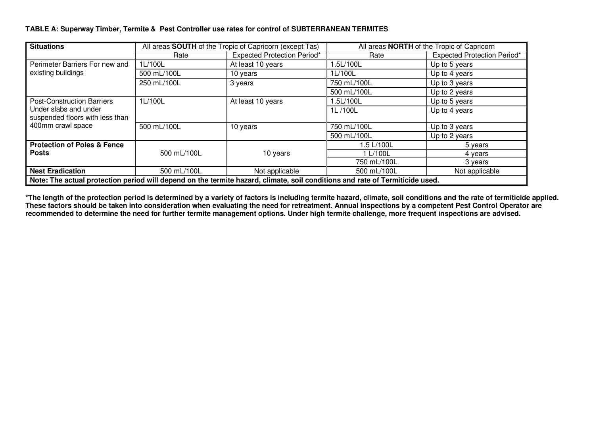#### **TABLE A: Superway Timber, Termite & Pest Controller use rates for control of SUBTERRANEAN TERMITES**

| <b>Situations</b>                                                                                                            |             | All areas <b>SOUTH</b> of the Tropic of Capricorn (except Tas) | All areas <b>NORTH</b> of the Tropic of Capricorn |                                    |  |  |
|------------------------------------------------------------------------------------------------------------------------------|-------------|----------------------------------------------------------------|---------------------------------------------------|------------------------------------|--|--|
|                                                                                                                              | Rate        | <b>Expected Protection Period*</b>                             | Rate                                              | <b>Expected Protection Period*</b> |  |  |
| Perimeter Barriers For new and                                                                                               | 1L/100L     | At least 10 years                                              | 1.5L/100L                                         | Up to 5 years                      |  |  |
| existing buildings                                                                                                           | 500 mL/100L | 10 years                                                       | 1L/100L                                           | Up to 4 years                      |  |  |
|                                                                                                                              | 250 mL/100L | 3 years                                                        | 750 mL/100L                                       | Up to 3 years                      |  |  |
|                                                                                                                              |             |                                                                | 500 mL/100L                                       | Up to 2 years                      |  |  |
| <b>Post-Construction Barriers</b>                                                                                            | 1L/100L     | At least 10 years                                              | 1.5L/100L                                         | Up to 5 years                      |  |  |
| Under slabs and under                                                                                                        |             |                                                                | 1L/100L                                           | Up to 4 years                      |  |  |
| suspended floors with less than                                                                                              |             |                                                                |                                                   |                                    |  |  |
| 400mm crawl space                                                                                                            | 500 mL/100L | 10 years                                                       | 750 mL/100L                                       | Up to 3 years                      |  |  |
|                                                                                                                              |             |                                                                | 500 mL/100L                                       | Up to 2 years                      |  |  |
| <b>Protection of Poles &amp; Fence</b>                                                                                       |             |                                                                | 1.5 L/100L                                        | 5 years                            |  |  |
| <b>Posts</b>                                                                                                                 | 500 mL/100L | 10 years                                                       | 1 L/100L                                          | 4 years                            |  |  |
|                                                                                                                              |             |                                                                | 750 mL/100L                                       | 3 years                            |  |  |
| <b>Nest Eradication</b>                                                                                                      | 500 mL/100L | Not applicable                                                 | 500 mL/100L                                       | Not applicable                     |  |  |
| Note: The actual protection period will depend on the termite hazard, climate, soil conditions and rate of Termiticide used. |             |                                                                |                                                   |                                    |  |  |

**\*The length of the protection period is determined by a variety of factors is including termite hazard, climate, soil conditions and the rate of termiticide applied. These factors should be taken into consideration when evaluating the need for retreatment. Annual inspections by a competent Pest Control Operator are recommended to determine the need for further termite management options. Under high termite challenge, more frequent inspections are advised.**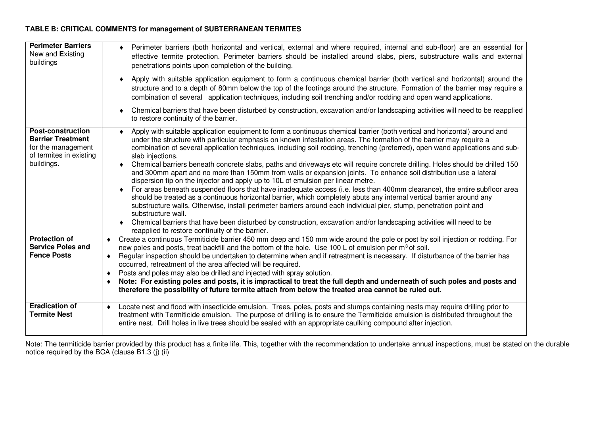### **TABLE B: CRITICAL COMMENTS for management of SUBTERRANEAN TERMITES**

| <b>Perimeter Barriers</b><br>New and Existing<br>buildings                                                          | Perimeter barriers (both horizontal and vertical, external and where required, internal and sub-floor) are an essential for<br>٠<br>effective termite protection. Perimeter barriers should be installed around slabs, piers, substructure walls and external<br>penetrations points upon completion of the building.                                                                                                                                                                                                                                                                                                                                                                                                                                                                                                                                                                                                                                                                                                                                                                                                                                                                                                                                                                                                              |
|---------------------------------------------------------------------------------------------------------------------|------------------------------------------------------------------------------------------------------------------------------------------------------------------------------------------------------------------------------------------------------------------------------------------------------------------------------------------------------------------------------------------------------------------------------------------------------------------------------------------------------------------------------------------------------------------------------------------------------------------------------------------------------------------------------------------------------------------------------------------------------------------------------------------------------------------------------------------------------------------------------------------------------------------------------------------------------------------------------------------------------------------------------------------------------------------------------------------------------------------------------------------------------------------------------------------------------------------------------------------------------------------------------------------------------------------------------------|
|                                                                                                                     | Apply with suitable application equipment to form a continuous chemical barrier (both vertical and horizontal) around the<br>$\bullet$<br>structure and to a depth of 80mm below the top of the footings around the structure. Formation of the barrier may require a<br>combination of several application techniques, including soil trenching and/or rodding and open wand applications.                                                                                                                                                                                                                                                                                                                                                                                                                                                                                                                                                                                                                                                                                                                                                                                                                                                                                                                                        |
|                                                                                                                     | Chemical barriers that have been disturbed by construction, excavation and/or landscaping activities will need to be reapplied<br>٠<br>to restore continuity of the barrier.                                                                                                                                                                                                                                                                                                                                                                                                                                                                                                                                                                                                                                                                                                                                                                                                                                                                                                                                                                                                                                                                                                                                                       |
| <b>Post-construction</b><br><b>Barrier Treatment</b><br>for the management<br>of termites in existing<br>buildings. | Apply with suitable application equipment to form a continuous chemical barrier (both vertical and horizontal) around and<br>under the structure with particular emphasis on known infestation areas. The formation of the barrier may require a<br>combination of several application techniques, including soil rodding, trenching (preferred), open wand applications and sub-<br>slab injections.<br>Chemical barriers beneath concrete slabs, paths and driveways etc will require concrete drilling. Holes should be drilled 150<br>٠<br>and 300mm apart and no more than 150mm from walls or expansion joints. To enhance soil distribution use a lateral<br>dispersion tip on the injector and apply up to 10L of emulsion per linear metre.<br>For areas beneath suspended floors that have inadequate access (i.e. less than 400mm clearance), the entire subfloor area<br>should be treated as a continuous horizontal barrier, which completely abuts any internal vertical barrier around any<br>substructure walls. Otherwise, install perimeter barriers around each individual pier, stump, penetration point and<br>substructure wall.<br>Chemical barriers that have been disturbed by construction, excavation and/or landscaping activities will need to be<br>reapplied to restore continuity of the barrier. |
| <b>Protection of</b><br><b>Service Poles and</b>                                                                    | Create a continuous Termiticide barrier 450 mm deep and 150 mm wide around the pole or post by soil injection or rodding. For<br>$\bullet$<br>new poles and posts, treat backfill and the bottom of the hole. Use 100 L of emulsion per m <sup>3</sup> of soil.                                                                                                                                                                                                                                                                                                                                                                                                                                                                                                                                                                                                                                                                                                                                                                                                                                                                                                                                                                                                                                                                    |
| <b>Fence Posts</b>                                                                                                  | Regular inspection should be undertaken to determine when and if retreatment is necessary. If disturbance of the barrier has<br>$\bullet$<br>occurred, retreatment of the area affected will be required.<br>Posts and poles may also be drilled and injected with spray solution.<br>٠                                                                                                                                                                                                                                                                                                                                                                                                                                                                                                                                                                                                                                                                                                                                                                                                                                                                                                                                                                                                                                            |
|                                                                                                                     | Note: For existing poles and posts, it is impractical to treat the full depth and underneath of such poles and posts and<br>٠<br>therefore the possibility of future termite attach from below the treated area cannot be ruled out.                                                                                                                                                                                                                                                                                                                                                                                                                                                                                                                                                                                                                                                                                                                                                                                                                                                                                                                                                                                                                                                                                               |
| <b>Eradication of</b><br><b>Termite Nest</b>                                                                        | Locate nest and flood with insecticide emulsion. Trees, poles, posts and stumps containing nests may require drilling prior to<br>$\bullet$<br>treatment with Termiticide emulsion. The purpose of drilling is to ensure the Termiticide emulsion is distributed throughout the<br>entire nest. Drill holes in live trees should be sealed with an appropriate caulking compound after injection.                                                                                                                                                                                                                                                                                                                                                                                                                                                                                                                                                                                                                                                                                                                                                                                                                                                                                                                                  |

Note: The termiticide barrier provided by this product has a finite life. This, together with the recommendation to undertake annual inspections, must be stated on the durable notice required by the BCA (clause B1.3 (j) (ii)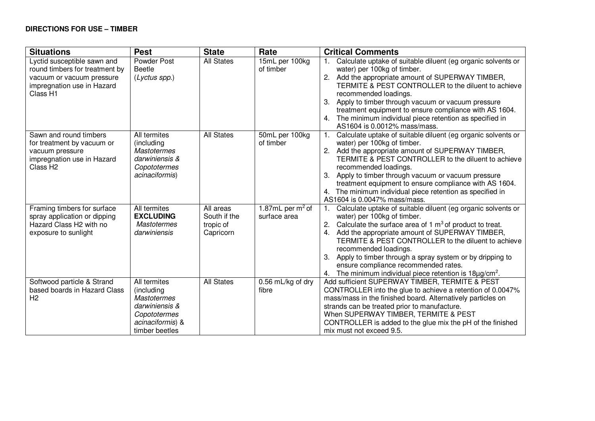| <b>Situations</b>                                                                                                                    | <b>Pest</b>                                                                                                              | <b>State</b>                                        | Rate                               | <b>Critical Comments</b>                                                                                                                                                                                                                                                                                                                                                                                                                                                       |
|--------------------------------------------------------------------------------------------------------------------------------------|--------------------------------------------------------------------------------------------------------------------------|-----------------------------------------------------|------------------------------------|--------------------------------------------------------------------------------------------------------------------------------------------------------------------------------------------------------------------------------------------------------------------------------------------------------------------------------------------------------------------------------------------------------------------------------------------------------------------------------|
| Lyctid susceptible sawn and<br>round timbers for treatment by<br>vacuum or vacuum pressure<br>impregnation use in Hazard<br>Class H1 | Powder Post<br><b>Beetle</b><br>$(Lyctus$ spp.)                                                                          | <b>All States</b>                                   | 15mL per 100kg<br>of timber        | Calculate uptake of suitable diluent (eg organic solvents or<br>water) per 100kg of timber.<br>2.<br>Add the appropriate amount of SUPERWAY TIMBER,<br>TERMITE & PEST CONTROLLER to the diluent to achieve<br>recommended loadings.<br>Apply to timber through vacuum or vacuum pressure<br>3.<br>treatment equipment to ensure compliance with AS 1604.<br>The minimum individual piece retention as specified in<br>4.<br>AS1604 is 0.0012% mass/mass.                       |
| Sawn and round timbers<br>for treatment by vacuum or<br>vacuum pressure<br>impregnation use in Hazard<br>Class H <sub>2</sub>        | All termites<br>(including<br><b>Mastotermes</b><br>darwiniensis &<br>Copototermes<br>acinaciformis)                     | <b>All States</b>                                   | 50mL per 100kg<br>of timber        | Calculate uptake of suitable diluent (eg organic solvents or<br>water) per 100kg of timber.<br>2.<br>Add the appropriate amount of SUPERWAY TIMBER,<br>TERMITE & PEST CONTROLLER to the diluent to achieve<br>recommended loadings.<br>3.<br>Apply to timber through vacuum or vacuum pressure<br>treatment equipment to ensure compliance with AS 1604.<br>4. The minimum individual piece retention as specified in<br>AS1604 is 0.0047% mass/mass.                          |
| Framing timbers for surface<br>spray application or dipping<br>Hazard Class H2 with no<br>exposure to sunlight                       | All termites<br><b>EXCLUDING</b><br><b>Mastotermes</b><br>darwiniensis                                                   | All areas<br>South if the<br>tropic of<br>Capricorn | 1.87mL per $m2$ of<br>surface area | Calculate uptake of suitable diluent (eg organic solvents or<br>water) per 100kg of timber.<br>Calculate the surface area of 1 $m3$ of product to treat.<br>2.<br>Add the appropriate amount of SUPERWAY TIMBER,<br>4.<br>TERMITE & PEST CONTROLLER to the diluent to achieve<br>recommended loadings.<br>3. Apply to timber through a spray system or by dripping to<br>ensure compliance recommended rates.<br>4. The minimum individual piece retention is $18\mu g/cm^2$ . |
| Softwood particle & Strand<br>based boards in Hazard Class<br>H <sub>2</sub>                                                         | All termites<br>(including<br><b>Mastotermes</b><br>darwiniensis &<br>Copototermes<br>acinaciformis) &<br>timber beetles | <b>All States</b>                                   | 0.56 mL/kg of dry<br>fibre         | Add sufficient SUPERWAY TIMBER, TERMITE & PEST<br>CONTROLLER into the glue to achieve a retention of 0.0047%<br>mass/mass in the finished board. Alternatively particles on<br>strands can be treated prior to manufacture.<br>When SUPERWAY TIMBER, TERMITE & PEST<br>CONTROLLER is added to the glue mix the pH of the finished<br>mix must not exceed 9.5.                                                                                                                  |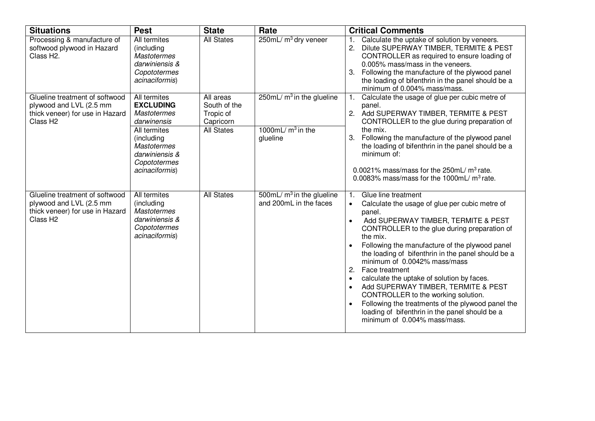| <b>Situations</b>                                                                                                    | <b>Pest</b>                                                                                                                                                                   | <b>State</b>                                                             | Rate                                                           | <b>Critical Comments</b>                                                                                                                                                                                                                                                                                                                                                                                                                                                                                                                                                                                                                                                     |
|----------------------------------------------------------------------------------------------------------------------|-------------------------------------------------------------------------------------------------------------------------------------------------------------------------------|--------------------------------------------------------------------------|----------------------------------------------------------------|------------------------------------------------------------------------------------------------------------------------------------------------------------------------------------------------------------------------------------------------------------------------------------------------------------------------------------------------------------------------------------------------------------------------------------------------------------------------------------------------------------------------------------------------------------------------------------------------------------------------------------------------------------------------------|
| Processing & manufacture of<br>softwood plywood in Hazard<br>Class H <sub>2</sub> .                                  | All termites<br>(including<br><b>Mastotermes</b><br>darwiniensis &<br>Copototermes<br>acinaciformis)                                                                          | <b>All States</b>                                                        | 250mL/ m <sup>3</sup> dry veneer                               | Calculate the uptake of solution by veneers.<br>Dilute SUPERWAY TIMBER, TERMITE & PEST<br>CONTROLLER as required to ensure loading of<br>0.005% mass/mass in the veneers.<br>Following the manufacture of the plywood panel<br>the loading of bifenthrin in the panel should be a<br>minimum of 0.004% mass/mass.                                                                                                                                                                                                                                                                                                                                                            |
| Glueline treatment of softwood<br>plywood and LVL (2.5 mm<br>thick veneer) for use in Hazard<br>Class H <sub>2</sub> | All termites<br><b>EXCLUDING</b><br><b>Mastotermes</b><br>darwinensis<br>All termites<br>(including<br><b>Mastotermes</b><br>darwiniensis &<br>Copototermes<br>acinaciformis) | All areas<br>South of the<br>Tropic of<br>Capricorn<br><b>All States</b> | 250mL/ $m3$ in the glueline<br>1000mL/ $m3$ in the<br>glueline | Calculate the usage of glue per cubic metre of<br>panel.<br>2. Add SUPERWAY TIMBER, TERMITE & PEST<br>CONTROLLER to the glue during preparation of<br>the mix.<br>3.<br>Following the manufacture of the plywood panel<br>the loading of bifenthrin in the panel should be a<br>minimum of:<br>0.0021% mass/mass for the $250mL/m^3$ rate.<br>0.0083% mass/mass for the 1000mL/ $m^3$ rate.                                                                                                                                                                                                                                                                                  |
| Glueline treatment of softwood<br>plywood and LVL (2.5 mm<br>thick veneer) for use in Hazard<br>Class H <sub>2</sub> | All termites<br>(including<br><b>Mastotermes</b><br>darwiniensis &<br>Copototermes<br>acinaciformis)                                                                          | <b>All States</b>                                                        | 500mL/ $m3$ in the glueline<br>and 200mL in the faces          | Glue line treatment<br>1.<br>Calculate the usage of glue per cubic metre of<br>$\bullet$<br>panel.<br>Add SUPERWAY TIMBER, TERMITE & PEST<br>$\bullet$<br>CONTROLLER to the glue during preparation of<br>the mix.<br>Following the manufacture of the plywood panel<br>the loading of bifenthrin in the panel should be a<br>minimum of 0.0042% mass/mass<br>2. Face treatment<br>calculate the uptake of solution by faces.<br>$\bullet$<br>Add SUPERWAY TIMBER, TERMITE & PEST<br>CONTROLLER to the working solution.<br>Following the treatments of the plywood panel the<br>$\bullet$<br>loading of bifenthrin in the panel should be a<br>minimum of 0.004% mass/mass. |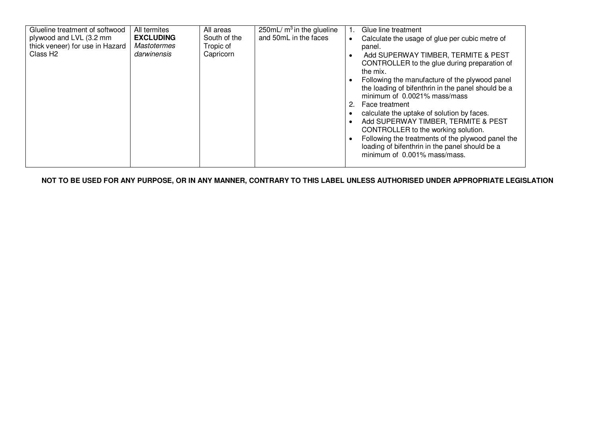| Glueline treatment of softwood<br>All termites<br>plywood and LVL (3.2 mm<br><b>EXCLUDING</b><br>thick veneer) for use in Hazard<br><b>Mastotermes</b><br>Class H <sub>2</sub><br>darwinensis | All areas<br>South of the<br>Tropic of<br>Capricorn | 250mL/ $m3$ in the glueline<br>and 50mL in the faces | $\bullet$<br>$\bullet$<br>2. | Glue line treatment<br>Calculate the usage of glue per cubic metre of<br>panel.<br>Add SUPERWAY TIMBER, TERMITE & PEST<br>CONTROLLER to the glue during preparation of<br>the mix.<br>Following the manufacture of the plywood panel<br>the loading of bifenthrin in the panel should be a<br>minimum of 0.0021% mass/mass<br>Face treatment<br>calculate the uptake of solution by faces.<br>Add SUPERWAY TIMBER, TERMITE & PEST<br>CONTROLLER to the working solution.<br>Following the treatments of the plywood panel the<br>loading of bifenthrin in the panel should be a<br>minimum of 0.001% mass/mass. |
|-----------------------------------------------------------------------------------------------------------------------------------------------------------------------------------------------|-----------------------------------------------------|------------------------------------------------------|------------------------------|-----------------------------------------------------------------------------------------------------------------------------------------------------------------------------------------------------------------------------------------------------------------------------------------------------------------------------------------------------------------------------------------------------------------------------------------------------------------------------------------------------------------------------------------------------------------------------------------------------------------|
|-----------------------------------------------------------------------------------------------------------------------------------------------------------------------------------------------|-----------------------------------------------------|------------------------------------------------------|------------------------------|-----------------------------------------------------------------------------------------------------------------------------------------------------------------------------------------------------------------------------------------------------------------------------------------------------------------------------------------------------------------------------------------------------------------------------------------------------------------------------------------------------------------------------------------------------------------------------------------------------------------|

**NOT TO BE USED FOR ANY PURPOSE, OR IN ANY MANNER, CONTRARY TO THIS LABEL UNLESS AUTHORISED UNDER APPROPRIATE LEGISLATION**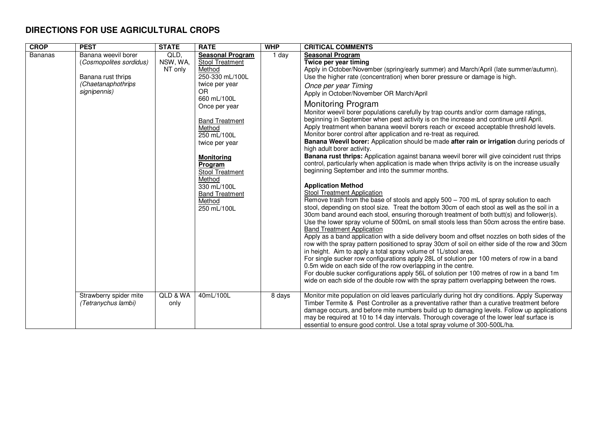## **DIRECTIONS FOR USE AGRICULTURAL CROPS**

| <b>CROP</b>    | <b>PEST</b>                                                                                                | <b>STATE</b>                | <b>RATE</b>                                                                                                                                                                                                                                                                                                                              | <b>WHP</b> | <b>CRITICAL COMMENTS</b>                                                                                                                                                                                                                                                                                                                                                                                                                                                                                                                                                                                                                                                                                                                                                                                                                                                                                                                                                                                                                                                                                                                                                                                                                                                                                                                                                                                                                                                                                                                                                                                                                                                                                                                                                                                                                                                                                                                                                                                                                                                                                                                                                       |
|----------------|------------------------------------------------------------------------------------------------------------|-----------------------------|------------------------------------------------------------------------------------------------------------------------------------------------------------------------------------------------------------------------------------------------------------------------------------------------------------------------------------------|------------|--------------------------------------------------------------------------------------------------------------------------------------------------------------------------------------------------------------------------------------------------------------------------------------------------------------------------------------------------------------------------------------------------------------------------------------------------------------------------------------------------------------------------------------------------------------------------------------------------------------------------------------------------------------------------------------------------------------------------------------------------------------------------------------------------------------------------------------------------------------------------------------------------------------------------------------------------------------------------------------------------------------------------------------------------------------------------------------------------------------------------------------------------------------------------------------------------------------------------------------------------------------------------------------------------------------------------------------------------------------------------------------------------------------------------------------------------------------------------------------------------------------------------------------------------------------------------------------------------------------------------------------------------------------------------------------------------------------------------------------------------------------------------------------------------------------------------------------------------------------------------------------------------------------------------------------------------------------------------------------------------------------------------------------------------------------------------------------------------------------------------------------------------------------------------------|
| <b>Bananas</b> | Banana weevil borer<br>(Cosmopolites sordidus)<br>Banana rust thrips<br>(Chaetanaphothrips<br>signipennis) | QLD,<br>NSW, WA,<br>NT only | <b>Seasonal Program</b><br>Stool Treatment<br>Method<br>250-330 mL/100L<br>twice per year<br><b>OR</b><br>660 mL/100L<br>Once per year<br><b>Band Treatment</b><br>Method<br>250 mL/100L<br>twice per year<br><b>Monitoring</b><br>Program<br>Stool Treatment<br>Method<br>330 mL/100L<br><b>Band Treatment</b><br>Method<br>250 mL/100L | 1 day      | <b>Seasonal Program</b><br>Twice per year timing<br>Apply in October/November (spring/early summer) and March/April (late summer/autumn).<br>Use the higher rate (concentration) when borer pressure or damage is high.<br>Once per year Timing<br>Apply in October/November OR March/April<br>Monitoring Program<br>Monitor weevil borer populations carefully by trap counts and/or corm damage ratings,<br>beginning in September when pest activity is on the increase and continue until April.<br>Apply treatment when banana weevil borers reach or exceed acceptable threshold levels.<br>Monitor borer control after application and re-treat as required.<br>Banana Weevil borer: Application should be made after rain or irrigation during periods of<br>high adult borer activity.<br>Banana rust thrips: Application against banana weevil borer will give coincident rust thrips<br>control, particularly when application is made when thrips activity is on the increase usually<br>beginning September and into the summer months.<br><b>Application Method</b><br><b>Stool Treatment Application</b><br>Remove trash from the base of stools and apply $500 - 700$ mL of spray solution to each<br>stool, depending on stool size. Treat the bottom 30cm of each stool as well as the soil in a<br>30cm band around each stool, ensuring thorough treatment of both butt(s) and follower(s).<br>Use the lower spray volume of 500mL on small stools less than 50cm across the entire base.<br><b>Band Treatment Application</b><br>Apply as a band application with a side delivery boom and offset nozzles on both sides of the<br>row with the spray pattern positioned to spray 30cm of soil on either side of the row and 30cm<br>in height. Aim to apply a total spray volume of 1L/stool area.<br>For single sucker row configurations apply 28L of solution per 100 meters of row in a band<br>0.5m wide on each side of the row overlapping in the centre.<br>For double sucker configurations apply 56L of solution per 100 metres of row in a band 1m<br>wide on each side of the double row with the spray pattern overlapping between the rows. |
|                | Strawberry spider mite<br>(Tetranychus lambi)                                                              | QLD & WA<br>only            | 40mL/100L                                                                                                                                                                                                                                                                                                                                | 8 days     | Monitor mite population on old leaves particularly during hot dry conditions. Apply Superway<br>Timber Termite & Pest Controller as a preventative rather than a curative treatment before<br>damage occurs, and before mite numbers build up to damaging levels. Follow up applications<br>may be required at 10 to 14 day intervals. Thorough coverage of the lower leaf surface is<br>essential to ensure good control. Use a total spray volume of 300-500L/ha.                                                                                                                                                                                                                                                                                                                                                                                                                                                                                                                                                                                                                                                                                                                                                                                                                                                                                                                                                                                                                                                                                                                                                                                                                                                                                                                                                                                                                                                                                                                                                                                                                                                                                                            |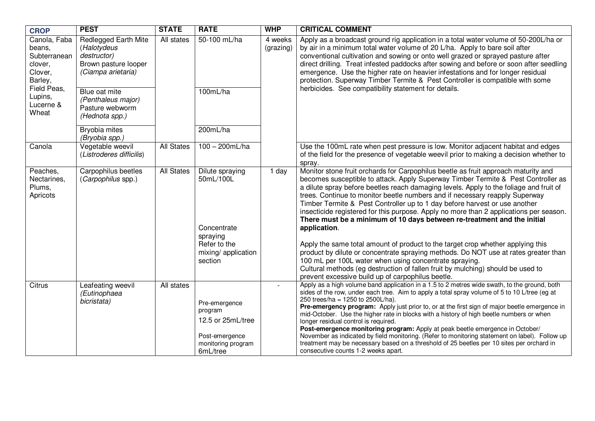| <b>CROP</b>                                                                                                             | <b>PEST</b>                                                                                                                                                                  | <b>STATE</b>      | <b>RATE</b>                                                                                       | <b>WHP</b>           | <b>CRITICAL COMMENT</b>                                                                                                                                                                                                                                                                                                                                                                                                                                                                                                                                                                                                                                                                                                                                                                        |
|-------------------------------------------------------------------------------------------------------------------------|------------------------------------------------------------------------------------------------------------------------------------------------------------------------------|-------------------|---------------------------------------------------------------------------------------------------|----------------------|------------------------------------------------------------------------------------------------------------------------------------------------------------------------------------------------------------------------------------------------------------------------------------------------------------------------------------------------------------------------------------------------------------------------------------------------------------------------------------------------------------------------------------------------------------------------------------------------------------------------------------------------------------------------------------------------------------------------------------------------------------------------------------------------|
| Canola, Faba<br>beans,<br>Subterranean<br>clover,<br>Clover,<br>Barley,<br>Field Peas,<br>Lupins,<br>Lucerne &<br>Wheat | Redlegged Earth Mite<br>(Halotydeus<br>destructor)<br>Brown pasture looper<br>(Ciampa arietaria)<br>Blue oat mite<br>(Penthaleus major)<br>Pasture webworm<br>(Hednota spp.) | All states        | 50-100 mL/ha<br>100mL/ha                                                                          | 4 weeks<br>(grazing) | Apply as a broadcast ground rig application in a total water volume of 50-200L/ha or<br>by air in a minimum total water volume of 20 L/ha. Apply to bare soil after<br>conventional cultivation and sowing or onto well grazed or sprayed pasture after<br>direct drilling. Treat infested paddocks after sowing and before or soon after seedling<br>emergence. Use the higher rate on heavier infestations and for longer residual<br>protection. Superway Timber Termite & Pest Controller is compatible with some<br>herbicides. See compatibility statement for details.                                                                                                                                                                                                                  |
|                                                                                                                         | Bryobia mites<br>(Bryobia spp.)                                                                                                                                              |                   | 200mL/ha                                                                                          |                      |                                                                                                                                                                                                                                                                                                                                                                                                                                                                                                                                                                                                                                                                                                                                                                                                |
| Canola                                                                                                                  | Vegetable weevil<br>(Listroderes difficilis)                                                                                                                                 | <b>All States</b> | $100 - 200$ mL/ha                                                                                 |                      | Use the 100mL rate when pest pressure is low. Monitor adjacent habitat and edges<br>of the field for the presence of vegetable weevil prior to making a decision whether to<br>spray.                                                                                                                                                                                                                                                                                                                                                                                                                                                                                                                                                                                                          |
| Peaches,<br>Nectarines,<br>Plums,<br>Apricots                                                                           | Carpophilus beetles<br>(Carpophilus spp.)                                                                                                                                    | <b>All States</b> | Dilute spraying<br>50mL/100L<br>Concentrate<br>spraying                                           | 1 day                | Monitor stone fruit orchards for Carpophilus beetle as fruit approach maturity and<br>becomes susceptible to attack. Apply Superway Timber Termite & Pest Controller as<br>a dilute spray before beetles reach damaging levels. Apply to the foliage and fruit of<br>trees. Continue to monitor beetle numbers and if necessary reapply Superway<br>Timber Termite & Pest Controller up to 1 day before harvest or use another<br>insecticide registered for this purpose. Apply no more than 2 applications per season.<br>There must be a minimum of 10 days between re-treatment and the initial<br>application.                                                                                                                                                                            |
|                                                                                                                         |                                                                                                                                                                              |                   | Refer to the<br>mixing/ application<br>section                                                    |                      | Apply the same total amount of product to the target crop whether applying this<br>product by dilute or concentrate spraying methods. Do NOT use at rates greater than<br>100 mL per 100L water when using concentrate spraying.<br>Cultural methods (eg destruction of fallen fruit by mulching) should be used to<br>prevent excessive build up of carpophilus beetle.                                                                                                                                                                                                                                                                                                                                                                                                                       |
| Citrus                                                                                                                  | Leafeating weevil<br>(Eutinophaea<br>bicristata)                                                                                                                             | All states        | Pre-emergence<br>program<br>12.5 or 25mL/tree<br>Post-emergence<br>monitoring program<br>6mL/tree | $\sim$               | Apply as a high volume band application in a 1.5 to 2 metres wide swath, to the ground, both<br>sides of the row, under each tree. Aim to apply a total spray volume of 5 to 10 L/tree (eg at<br>250 trees/ha = 1250 to 2500L/ha).<br>Pre-emergency program: Apply just prior to, or at the first sign of major beetle emergence in<br>mid-October. Use the higher rate in blocks with a history of high beetle numbers or when<br>longer residual control is required.<br>Post-emergence monitoring program: Apply at peak beetle emergence in October/<br>November as indicated by field monitoring. (Refer to monitoring statement on label). Follow up<br>treatment may be necessary based on a threshold of 25 beetles per 10 sites per orchard in<br>consecutive counts 1-2 weeks apart. |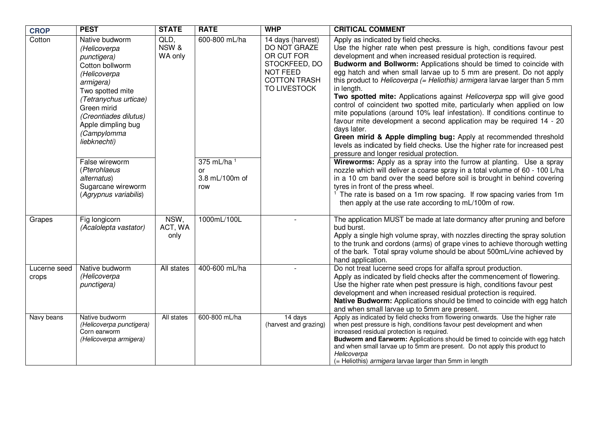| <b>CROP</b>           | <b>PEST</b>                                                                                                                                                                                                                                                                                                                             | <b>STATE</b>             | <b>RATE</b>                                                            | <b>WHP</b>                                                                                                                 | <b>CRITICAL COMMENT</b>                                                                                                                                                                                                                                                                                                                                                                                                                                                                                                                                                                                                                                                                                                                                                                                                                                                                                                                                                                                                                                                                                                                                                                                                                                                                                                                                        |
|-----------------------|-----------------------------------------------------------------------------------------------------------------------------------------------------------------------------------------------------------------------------------------------------------------------------------------------------------------------------------------|--------------------------|------------------------------------------------------------------------|----------------------------------------------------------------------------------------------------------------------------|----------------------------------------------------------------------------------------------------------------------------------------------------------------------------------------------------------------------------------------------------------------------------------------------------------------------------------------------------------------------------------------------------------------------------------------------------------------------------------------------------------------------------------------------------------------------------------------------------------------------------------------------------------------------------------------------------------------------------------------------------------------------------------------------------------------------------------------------------------------------------------------------------------------------------------------------------------------------------------------------------------------------------------------------------------------------------------------------------------------------------------------------------------------------------------------------------------------------------------------------------------------------------------------------------------------------------------------------------------------|
| Cotton                | Native budworm<br>(Helicoverpa<br>punctigera)<br>Cotton bollworm<br>(Helicoverpa<br>armigera)<br>Two spotted mite<br>(Tetranychus urticae)<br>Green mirid<br>(Creontiades dilutus)<br>Apple dimpling bug<br>(Campylomma<br>liebknechti)<br>False wireworm<br>(Pterohlaeus<br>alternatus)<br>Sugarcane wireworm<br>(Agrypnus variabilis) | QLD,<br>NSW &<br>WA only | 600-800 mL/ha<br>375 mL/ha <sup>1</sup><br>or<br>3.8 mL/100m of<br>row | 14 days (harvest)<br>DO NOT GRAZE<br>OR CUT FOR<br>STOCKFEED, DO<br><b>NOT FEED</b><br><b>COTTON TRASH</b><br>TO LIVESTOCK | Apply as indicated by field checks.<br>Use the higher rate when pest pressure is high, conditions favour pest<br>development and when increased residual protection is required.<br>Budworm and Bollworm: Applications should be timed to coincide with<br>egg hatch and when small larvae up to 5 mm are present. Do not apply<br>this product to Helicoverpa (= Heliothis) armigera larvae larger than 5 mm<br>in length.<br>Two spotted mite: Applications against Helicoverpa spp will give good<br>control of coincident two spotted mite, particularly when applied on low<br>mite populations (around 10% leaf infestation). If conditions continue to<br>favour mite development a second application may be required 14 - 20<br>days later.<br>Green mirid & Apple dimpling bug: Apply at recommended threshold<br>levels as indicated by field checks. Use the higher rate for increased pest<br>pressure and longer residual protection.<br>Wireworms: Apply as a spray into the furrow at planting. Use a spray<br>nozzle which will deliver a coarse spray in a total volume of 60 - 100 L/ha<br>in a 10 cm band over the seed before soil is brought in behind covering<br>tyres in front of the press wheel.<br>The rate is based on a 1m row spacing. If row spacing varies from 1m<br>then apply at the use rate according to mL/100m of row. |
| Grapes                | Fig longicorn<br>(Acalolepta vastator)                                                                                                                                                                                                                                                                                                  | NSW,<br>ACT, WA<br>only  | 1000mL/100L                                                            |                                                                                                                            | The application MUST be made at late dormancy after pruning and before<br>bud burst.<br>Apply a single high volume spray, with nozzles directing the spray solution<br>to the trunk and cordons (arms) of grape vines to achieve thorough wetting<br>of the bark. Total spray volume should be about 500mL/vine achieved by<br>hand application.                                                                                                                                                                                                                                                                                                                                                                                                                                                                                                                                                                                                                                                                                                                                                                                                                                                                                                                                                                                                               |
| Lucerne seed<br>crops | Native budworm<br>(Helicoverpa<br>punctigera)                                                                                                                                                                                                                                                                                           | All states               | 400-600 mL/ha                                                          |                                                                                                                            | Do not treat lucerne seed crops for alfalfa sprout production.<br>Apply as indicated by field checks after the commencement of flowering.<br>Use the higher rate when pest pressure is high, conditions favour pest<br>development and when increased residual protection is required.<br>Native Budworm: Applications should be timed to coincide with egg hatch<br>and when small larvae up to 5mm are present.                                                                                                                                                                                                                                                                                                                                                                                                                                                                                                                                                                                                                                                                                                                                                                                                                                                                                                                                              |
| Navy beans            | Native budworm<br>(Helicoverpa punctigera)<br>Corn earworm<br>(Helicoverpa armigera)                                                                                                                                                                                                                                                    | All states               | 600-800 mL/ha                                                          | 14 days<br>(harvest and grazing)                                                                                           | Apply as indicated by field checks from flowering onwards. Use the higher rate<br>when pest pressure is high, conditions favour pest development and when<br>increased residual protection is required.<br>Budworm and Earworm: Applications should be timed to coincide with egg hatch<br>and when small larvae up to 5mm are present. Do not apply this product to<br>Helicoverpa<br>(= Heliothis) armigera larvae larger than 5mm in length                                                                                                                                                                                                                                                                                                                                                                                                                                                                                                                                                                                                                                                                                                                                                                                                                                                                                                                 |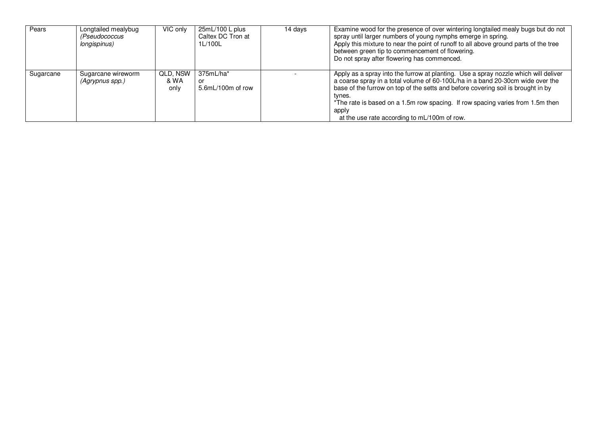| Pears     | Longtailed mealybug<br>(Pseudococcus<br>longispinus) | VIC only                 | $25mL/100L$ plus<br>Caltex DC Tron at<br>1L/100L | 14 days | Examine wood for the presence of over wintering longtailed mealy bugs but do not<br>spray until larger numbers of young nymphs emerge in spring.<br>Apply this mixture to near the point of runoff to all above ground parts of the tree<br>between green tip to commencement of flowering.<br>Do not spray after flowering has commenced.                                                                     |
|-----------|------------------------------------------------------|--------------------------|--------------------------------------------------|---------|----------------------------------------------------------------------------------------------------------------------------------------------------------------------------------------------------------------------------------------------------------------------------------------------------------------------------------------------------------------------------------------------------------------|
| Sugarcane | Sugarcane wireworm<br>(Agrypnus spp.)                | QLD, NSW<br>& WA<br>only | $375mL/ha*$<br>or<br>5.6mL/100m of row           |         | Apply as a spray into the furrow at planting. Use a spray nozzle which will deliver<br>a coarse spray in a total volume of 60-100L/ha in a band 20-30cm wide over the<br>base of the furrow on top of the setts and before covering soil is brought in by<br>tynes.<br>*The rate is based on a 1.5m row spacing. If row spacing varies from 1.5m then<br>apply<br>at the use rate according to mL/100m of row. |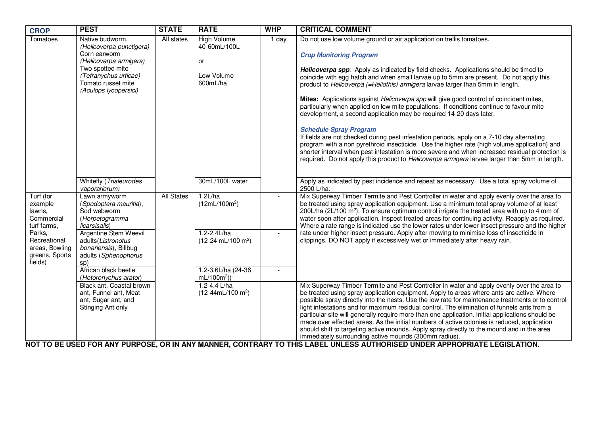| <b>CROP</b>                                                           | <b>PEST</b>                                                                                                                                                                       | <b>STATE</b>      | <b>RATE</b>                                                        | <b>WHP</b> | <b>CRITICAL COMMENT</b>                                                                                                                                                                                                                                                                                                                                                                                                                                                                                                                                                                                                                                                                                                                                                                                                                                                                                                                                                                                                                                                     |
|-----------------------------------------------------------------------|-----------------------------------------------------------------------------------------------------------------------------------------------------------------------------------|-------------------|--------------------------------------------------------------------|------------|-----------------------------------------------------------------------------------------------------------------------------------------------------------------------------------------------------------------------------------------------------------------------------------------------------------------------------------------------------------------------------------------------------------------------------------------------------------------------------------------------------------------------------------------------------------------------------------------------------------------------------------------------------------------------------------------------------------------------------------------------------------------------------------------------------------------------------------------------------------------------------------------------------------------------------------------------------------------------------------------------------------------------------------------------------------------------------|
| Tomatoes                                                              | Native budworm,<br>(Helicoverpa punctigera)<br>Corn earworm<br>(Helicoverpa armigera)<br>Two spotted mite<br>(Tetranychus urticae)<br>Tomato russet mite<br>(Aculops lycopersici) | All states        | <b>High Volume</b><br>40-60mL/100L<br>or<br>Low Volume<br>600mL/ha | $1$ day    | Do not use low volume ground or air application on trellis tomatoes.<br><b>Crop Monitoring Program</b><br>Helicoverpa spp: Apply as indicated by field checks. Applications should be timed to<br>coincide with egg hatch and when small larvae up to 5mm are present. Do not apply this<br>product to Helicoverpa (=Heliothis) armigera larvae larger than 5mm in length.<br>Mites: Applications against Helicoverpa spp will give good control of coincident mites,<br>particularly when applied on low mite populations. If conditions continue to favour mite<br>development, a second application may be required 14-20 days later.<br><b>Schedule Spray Program</b><br>If fields are not checked during pest infestation periods, apply on a 7-10 day alternating<br>program with a non pyrethroid insecticide. Use the higher rate (high volume application) and<br>shorter interval when pest infestation is more severe and when increased residual protection is<br>required. Do not apply this product to Helicoverpa armigera larvae larger than 5mm in length. |
|                                                                       | Whitefly (Trialeurodes<br>vaporariorum)                                                                                                                                           |                   | 30mL/100L water                                                    |            | Apply as indicated by pest incidence and repeat as necessary. Use a total spray volume of<br>2500 L/ha.                                                                                                                                                                                                                                                                                                                                                                                                                                                                                                                                                                                                                                                                                                                                                                                                                                                                                                                                                                     |
| Turf (for<br>example<br>lawns,<br>Commercial<br>turf farms,           | Lawn armyworm<br>(Spodoptera mauritia),<br>Sod webworm<br>(Herpetogramma<br>licarsisalis)                                                                                         | <b>All States</b> | 1.2L/ha<br>$(12mL/100m^2)$                                         |            | Mix Superway Timber Termite and Pest Controller in water and apply evenly over the area to<br>be treated using spray application equipment. Use a minimum total spray volume of at least<br>200L/ha (2L/100 m <sup>2</sup> ). To ensure optimum control irrigate the treated area with up to 4 mm of<br>water soon after application. Inspect treated areas for continuing activity. Reapply as required.<br>Where a rate range is indicated use the lower rates under lower insect pressure and the higher                                                                                                                                                                                                                                                                                                                                                                                                                                                                                                                                                                 |
| Parks,<br>Recreational<br>areas, Bowling<br>greens, Sports<br>fields) | <b>Argentine Stem Weevil</b><br>adults(Listronotus<br>bonariensis), Billbug<br>adults (Sphenophorus<br>sp)                                                                        |                   | $1.2 - 2.4$ L/ha<br>$(12-24 \text{ mL}/100 \text{ m}^2)$           | $\sim$     | rate under higher insect pressure. Apply after mowing to minimise loss of insecticide in<br>clippings. DO NOT apply if excessively wet or immediately after heavy rain.                                                                                                                                                                                                                                                                                                                                                                                                                                                                                                                                                                                                                                                                                                                                                                                                                                                                                                     |
|                                                                       | African black beetle<br>(Hetoronychus arator)                                                                                                                                     |                   | 1.2-3.6L/ha (24-36)<br>$mL/100m^2)$                                |            |                                                                                                                                                                                                                                                                                                                                                                                                                                                                                                                                                                                                                                                                                                                                                                                                                                                                                                                                                                                                                                                                             |
|                                                                       | Black ant, Coastal brown<br>ant, Funnel ant, Meat<br>ant, Sugar ant, and<br>Stinging Ant only                                                                                     |                   | 1.2-4.4 $L/ha$<br>$(12-44mL/100 m2)$                               | $\sim$     | Mix Superway Timber Termite and Pest Controller in water and apply evenly over the area to<br>be treated using spray application equipment. Apply to areas where ants are active. Where<br>possible spray directly into the nests. Use the low rate for maintenance treatments or to control<br>light infestations and for maximum residual control. The elimination of funnels ants from a<br>particular site will generally require more than one application. Initial applications should be<br>made over effected areas. As the initial numbers of active colonies is reduced, application<br>should shift to targeting active mounds. Apply spray directly to the mound and in the area<br>immediately surrounding active mounds (300mm radius).                                                                                                                                                                                                                                                                                                                       |

**NOT TO BE USED FOR ANY PURPOSE, OR IN ANY MANNER, CONTRARY TO THIS LABEL UNLESS AUTHORISED UNDER APPROPRIATE LEGISLATION.**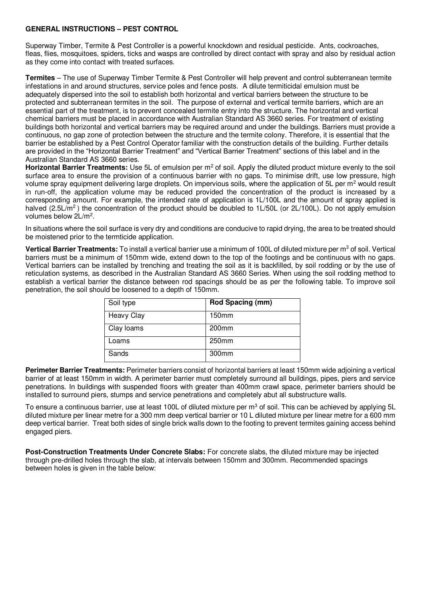#### **GENERAL INSTRUCTIONS – PEST CONTROL**

Superway Timber, Termite & Pest Controller is a powerful knockdown and residual pesticide. Ants, cockroaches, fleas, flies, mosquitoes, spiders, ticks and wasps are controlled by direct contact with spray and also by residual action as they come into contact with treated surfaces.

**Termites** – The use of Superway Timber Termite & Pest Controller will help prevent and control subterranean termite infestations in and around structures, service poles and fence posts. A dilute termiticidal emulsion must be adequately dispersed into the soil to establish both horizontal and vertical barriers between the structure to be protected and subterranean termites in the soil. The purpose of external and vertical termite barriers, which are an essential part of the treatment, is to prevent concealed termite entry into the structure. The horizontal and vertical chemical barriers must be placed in accordance with Australian Standard AS 3660 series. For treatment of existing buildings both horizontal and vertical barriers may be required around and under the buildings. Barriers must provide a continuous, no gap zone of protection between the structure and the termite colony. Therefore, it is essential that the barrier be established by a Pest Control Operator familiar with the construction details of the building. Further details are provided in the "Horizontal Barrier Treatment" and "Vertical Barrier Treatment" sections of this label and in the Australian Standard AS 3660 series.

Horizontal Barrier Treatments: Use 5L of emulsion per m<sup>2</sup> of soil. Apply the diluted product mixture evenly to the soil surface area to ensure the provision of a continuous barrier with no gaps. To minimise drift, use low pressure, high volume spray equipment delivering large droplets. On impervious soils, where the application of 5L per m<sup>2</sup> would result in run-off, the application volume may be reduced provided the concentration of the product is increased by a corresponding amount. For example, the intended rate of application is 1L/100L and the amount of spray applied is halved (2.5L/m<sup>2</sup>) the concentration of the product should be doubled to 1L/50L (or 2L/100L). Do not apply emulsion volumes below 2L/m<sup>2</sup>.

In situations where the soil surface is very dry and conditions are conducive to rapid drying, the area to be treated should be moistened prior to the termticide application.

Vertical Barrier Treatments: To install a vertical barrier use a minimum of 100L of diluted mixture per m<sup>3</sup> of soil. Vertical barriers must be a minimum of 150mm wide, extend down to the top of the footings and be continuous with no gaps. Vertical barriers can be installed by trenching and treating the soil as it is backfilled, by soil rodding or by the use of reticulation systems, as described in the Australian Standard AS 3660 Series. When using the soil rodding method to establish a vertical barrier the distance between rod spacings should be as per the following table. To improve soil penetration, the soil should be loosened to a depth of 150mm.

| Soil type         | Rod Spacing (mm)  |
|-------------------|-------------------|
| <b>Heavy Clay</b> | 150mm             |
| Clay loams        | 200 <sub>mm</sub> |
| Loams             | 250mm             |
| Sands             | 300mm             |

**Perimeter Barrier Treatments:** Perimeter barriers consist of horizontal barriers at least 150mm wide adjoining a vertical barrier of at least 150mm in width. A perimeter barrier must completely surround all buildings, pipes, piers and service penetrations. In buildings with suspended floors with greater than 400mm crawl space, perimeter barriers should be installed to surround piers, stumps and service penetrations and completely abut all substructure walls.

To ensure a continuous barrier, use at least 100L of diluted mixture per m<sup>3</sup> of soil. This can be achieved by applying 5L diluted mixture per linear metre for a 300 mm deep vertical barrier or 10 L diluted mixture per linear metre for a 600 mm deep vertical barrier. Treat both sides of single brick walls down to the footing to prevent termites gaining access behind engaged piers.

**Post-Construction Treatments Under Concrete Slabs:** For concrete slabs, the diluted mixture may be injected through pre-drilled holes through the slab, at intervals between 150mm and 300mm. Recommended spacings between holes is given in the table below: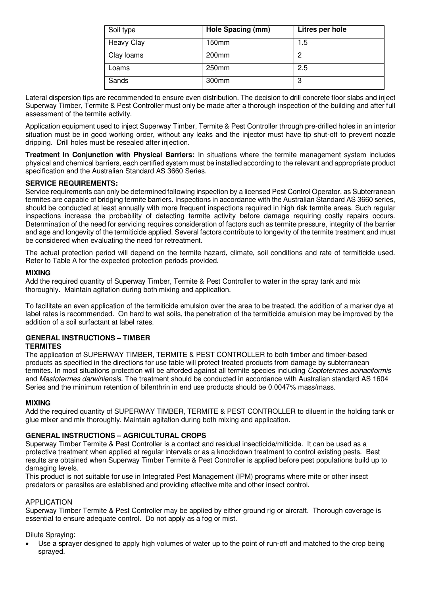| Soil type         | Hole Spacing (mm) | Litres per hole |
|-------------------|-------------------|-----------------|
| <b>Heavy Clay</b> | 150mm             | 1.5             |
| Clay loams        | 200mm             | 2               |
| Loams             | 250mm             | 2.5             |
| Sands             | 300mm             | 3               |

Lateral dispersion tips are recommended to ensure even distribution. The decision to drill concrete floor slabs and inject Superway Timber, Termite & Pest Controller must only be made after a thorough inspection of the building and after full assessment of the termite activity.

Application equipment used to inject Superway Timber, Termite & Pest Controller through pre-drilled holes in an interior situation must be in good working order, without any leaks and the injector must have tip shut-off to prevent nozzle dripping. Drill holes must be resealed after injection.

**Treatment In Conjunction with Physical Barriers:** In situations where the termite management system includes physical and chemical barriers, each certified system must be installed according to the relevant and appropriate product specification and the Australian Standard AS 3660 Series.

#### **SERVICE REQUIREMENTS:**

Service requirements can only be determined following inspection by a licensed Pest Control Operator, as Subterranean termites are capable of bridging termite barriers. Inspections in accordance with the Australian Standard AS 3660 series, should be conducted at least annually with more frequent inspections required in high risk termite areas. Such regular inspections increase the probability of detecting termite activity before damage requiring costly repairs occurs. Determination of the need for servicing requires consideration of factors such as termite pressure, integrity of the barrier and age and longevity of the termiticide applied. Several factors contribute to longevity of the termite treatment and must be considered when evaluating the need for retreatment.

The actual protection period will depend on the termite hazard, climate, soil conditions and rate of termiticide used. Refer to Table A for the expected protection periods provided.

#### **MIXING**

Add the required quantity of Superway Timber, Termite & Pest Controller to water in the spray tank and mix thoroughly. Maintain agitation during both mixing and application.

To facilitate an even application of the termiticide emulsion over the area to be treated, the addition of a marker dye at label rates is recommended. On hard to wet soils, the penetration of the termiticide emulsion may be improved by the addition of a soil surfactant at label rates.

# **GENERAL INSTRUCTIONS – TIMBER**

**TERMITES**

The application of SUPERWAY TIMBER, TERMITE & PEST CONTROLLER to both timber and timber-based products as specified in the directions for use table will protect treated products from damage by subterranean termites. In most situations protection will be afforded against all termite species including Coptotermes acinaciformis and Mastotermes darwiniensis. The treatment should be conducted in accordance with Australian standard AS 1604 Series and the minimum retention of bifenthrin in end use products should be 0.0047% mass/mass.

#### **MIXING**

Add the required quantity of SUPERWAY TIMBER, TERMITE & PEST CONTROLLER to diluent in the holding tank or glue mixer and mix thoroughly. Maintain agitation during both mixing and application.

#### **GENERAL INSTRUCTIONS – AGRICULTURAL CROPS**

Superway Timber Termite & Pest Controller is a contact and residual insecticide/miticide. It can be used as a protective treatment when applied at regular intervals or as a knockdown treatment to control existing pests. Best results are obtained when Superway Timber Termite & Pest Controller is applied before pest populations build up to damaging levels.

This product is not suitable for use in Integrated Pest Management (IPM) programs where mite or other insect predators or parasites are established and providing effective mite and other insect control.

#### APPLICATION

Superway Timber Termite & Pest Controller may be applied by either ground rig or aircraft. Thorough coverage is essential to ensure adequate control. Do not apply as a fog or mist.

Dilute Spraying:

 Use a sprayer designed to apply high volumes of water up to the point of run-off and matched to the crop being sprayed.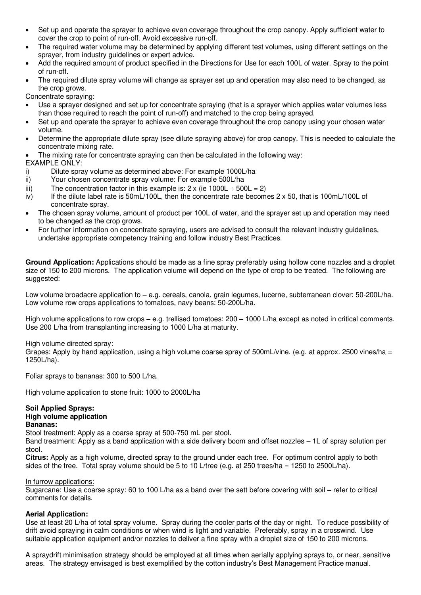- Set up and operate the sprayer to achieve even coverage throughout the crop canopy. Apply sufficient water to cover the crop to point of run-off. Avoid excessive run-off.
- The required water volume may be determined by applying different test volumes, using different settings on the sprayer, from industry guidelines or expert advice.
- Add the required amount of product specified in the Directions for Use for each 100L of water. Spray to the point of run-off.
- The required dilute spray volume will change as sprayer set up and operation may also need to be changed, as the crop grows.

Concentrate spraying:

- Use a sprayer designed and set up for concentrate spraying (that is a sprayer which applies water volumes less than those required to reach the point of run-off) and matched to the crop being sprayed.
- Set up and operate the sprayer to achieve even coverage throughout the crop canopy using your chosen water volume.
- Determine the appropriate dilute spray (see dilute spraying above) for crop canopy. This is needed to calculate the concentrate mixing rate.
- The mixing rate for concentrate spraying can then be calculated in the following way:

#### EXAMPLE ONLY:

- i) Dilute spray volume as determined above: For example 1000L/ha
- ii) Your chosen concentrate spray volume: For example 500L/ha
- iii) The concentration factor in this example is:  $2 \times$  (ie 1000L  $\div$  500L = 2)
- iv) If the dilute label rate is 50mL/100L, then the concentrate rate becomes 2 x 50, that is 100mL/100L of concentrate spray.
- The chosen spray volume, amount of product per 100L of water, and the sprayer set up and operation may need to be changed as the crop grows.
- For further information on concentrate spraying, users are advised to consult the relevant industry guidelines, undertake appropriate competency training and follow industry Best Practices.

**Ground Application:** Applications should be made as a fine spray preferably using hollow cone nozzles and a droplet size of 150 to 200 microns. The application volume will depend on the type of crop to be treated. The following are suggested:

Low volume broadacre application to – e.g. cereals, canola, grain legumes, lucerne, subterranean clover: 50-200L/ha. Low volume row crops applications to tomatoes, navy beans: 50-200L/ha.

High volume applications to row crops – e.g. trellised tomatoes: 200 – 1000 L/ha except as noted in critical comments. Use 200 L/ha from transplanting increasing to 1000 L/ha at maturity.

High volume directed spray:

Grapes: Apply by hand application, using a high volume coarse spray of 500mL/vine. (e.g. at approx. 2500 vines/ha = 1250L/ha).

Foliar sprays to bananas: 300 to 500 L/ha.

High volume application to stone fruit: 1000 to 2000L/ha

#### **Soil Applied Sprays: High volume application Bananas:**

Stool treatment: Apply as a coarse spray at 500-750 mL per stool.

Band treatment: Apply as a band application with a side delivery boom and offset nozzles – 1L of spray solution per stool.

**Citrus:** Apply as a high volume, directed spray to the ground under each tree. For optimum control apply to both sides of the tree. Total spray volume should be 5 to 10 L/tree (e.g. at 250 trees/ha = 1250 to 2500L/ha).

#### In furrow applications:

Sugarcane: Use a coarse spray: 60 to 100 L/ha as a band over the sett before covering with soil – refer to critical comments for details.

#### **Aerial Application:**

Use at least 20 L/ha of total spray volume. Spray during the cooler parts of the day or night. To reduce possibility of drift avoid spraying in calm conditions or when wind is light and variable. Preferably, spray in a crosswind. Use suitable application equipment and/or nozzles to deliver a fine spray with a droplet size of 150 to 200 microns.

A spraydrift minimisation strategy should be employed at all times when aerially applying sprays to, or near, sensitive areas. The strategy envisaged is best exemplified by the cotton industry's Best Management Practice manual.